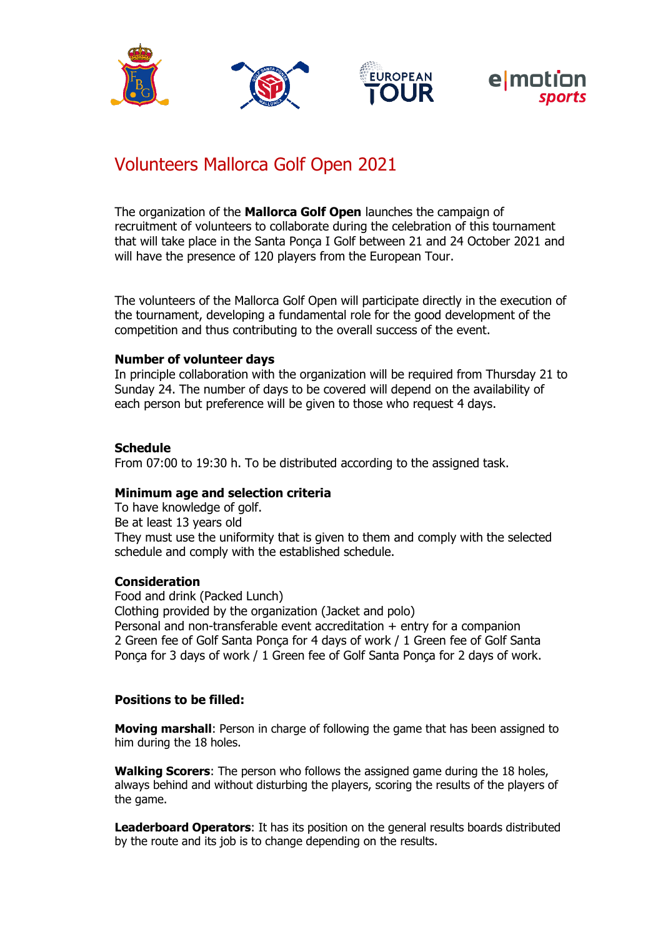

# Volunteers Mallorca Golf Open 2021

The organization of the **Mallorca Golf Open** launches the campaign of recruitment of volunteers to collaborate during the celebration of this tournament that will take place in the Santa Ponça I Golf between 21 and 24 October 2021 and will have the presence of 120 players from the European Tour.

The volunteers of the Mallorca Golf Open will participate directly in the execution of the tournament, developing a fundamental role for the good development of the competition and thus contributing to the overall success of the event.

### **Number of volunteer days**

In principle collaboration with the organization will be required from Thursday 21 to Sunday 24. The number of days to be covered will depend on the availability of each person but preference will be given to those who request 4 days.

### **Schedule**

From 07:00 to 19:30 h. To be distributed according to the assigned task.

### **Minimum age and selection criteria**

To have knowledge of golf. Be at least 13 years old They must use the uniformity that is given to them and comply with the selected schedule and comply with the established schedule.

### **Consideration**

Food and drink (Packed Lunch) Clothing provided by the organization (Jacket and polo) Personal and non-transferable event accreditation  $+$  entry for a companion 2 Green fee of Golf Santa Ponça for 4 days of work / 1 Green fee of Golf Santa Ponça for 3 days of work / 1 Green fee of Golf Santa Ponça for 2 days of work.

### **Positions to be filled:**

**Moving marshall**: Person in charge of following the game that has been assigned to him during the 18 holes.

**Walking Scorers**: The person who follows the assigned game during the 18 holes, always behind and without disturbing the players, scoring the results of the players of the game.

**Leaderboard Operators**: It has its position on the general results boards distributed by the route and its job is to change depending on the results.